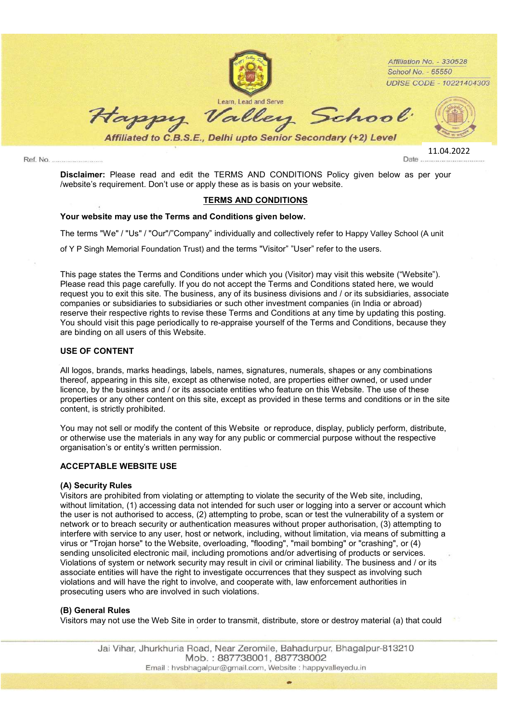

Disclaimer: Please read and edit the TERMS AND CONDITIONS Policy given below as per your /website's requirement. Don't use or apply these as is basis on your website.

## TERMS AND CONDITIONS

#### Your website may use the Terms and Conditions given below.

The terms "We" / "Us" / "Our"/"Company" individually and collectively refer to Happy Valley School (A unit

of Y P Singh Memorial Foundation Trust) and the terms "Visitor" "User" refer to the users.

This page states the Terms and Conditions under which you (Visitor) may visit this website ("Website"). Please read this page carefully. If you do not accept the Terms and Conditions stated here, we would request you to exit this site. The business, any of its business divisions and / or its subsidiaries, associate companies or subsidiaries to subsidiaries or such other investment companies (in India or abroad) reserve their respective rights to revise these Terms and Conditions at any time by updating this posting. You should visit this page periodically to re-appraise yourself of the Terms and Conditions, because they are binding on all users of this Website.

## USE OF CONTENT

All logos, brands, marks headings, labels, names, signatures, numerals, shapes or any combinations thereof, appearing in this site, except as otherwise noted, are properties either owned, or used under licence, by the business and / or its associate entities who feature on this Website. The use of these properties or any other content on this site, except as provided in these terms and conditions or in the site content, is strictly prohibited.

You may not sell or modify the content of this Website or reproduce, display, publicly perform, distribute, or otherwise use the materials in any way for any public or commercial purpose without the respective organisation's or entity's written permission.

# ACCEPTABLE WEBSITE USE

## (A) Security Rules

Visitors are prohibited from violating or attempting to violate the security of the Web site, including, without limitation, (1) accessing data not intended for such user or logging into a server or account which the user is not authorised to access, (2) attempting to probe, scan or test the vulnerability of a system or network or to breach security or authentication measures without proper authorisation, (3) attempting to interfere with service to any user, host or network, including, without limitation, via means of submitting a virus or "Trojan horse" to the Website, overloading, "flooding", "mail bombing" or "crashing", or (4) sending unsolicited electronic mail, including promotions and/or advertising of products or services. Violations of system or network security may result in civil or criminal liability. The business and / or its associate entities will have the right to investigate occurrences that they suspect as involving such violations and will have the right to involve, and cooperate with, law enforcement authorities in prosecuting users who are involved in such violations.

#### (B) General Rules

Visitors may not use the Web Site in order to transmit, distribute, store or destroy material (a) that could

Jai Vihar, Jhurkhuria Road, Near Zeromile, Bahadurpur, Bhagalpur-813210 Mob.: 887738001, 887738002 Email: hysbhaqalpur@gmail.com, Website: happyvalleyedu.in